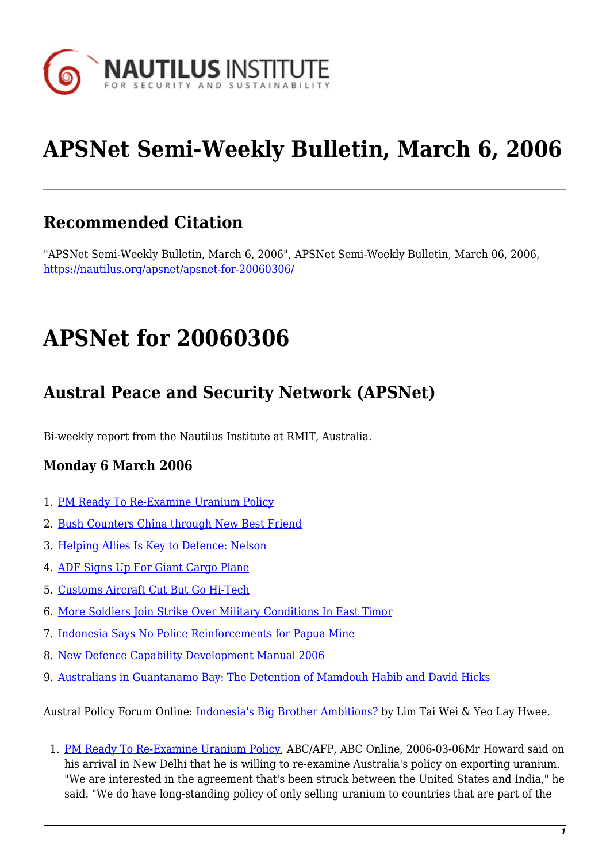

# **APSNet Semi-Weekly Bulletin, March 6, 2006**

## **Recommended Citation**

"APSNet Semi-Weekly Bulletin, March 6, 2006", APSNet Semi-Weekly Bulletin, March 06, 2006, <https://nautilus.org/apsnet/apsnet-for-20060306/>

## **APSNet for 20060306**

## **Austral Peace and Security Network (APSNet)**

Bi-weekly report from the Nautilus Institute at RMIT, Australia.

### **Monday 6 March 2006**

- 1. [PM Ready To Re-Examine Uranium Policy](#page--1-0)
- 2. [Bush Counters China through New Best Friend](#page--1-0)
- 3. [Helping Allies Is Key to Defence: Nelson](#page--1-0)
- 4. [ADF Signs Up For Giant Cargo Plane](#page--1-0)
- 5. [Customs Aircraft Cut But Go Hi-Tech](#page--1-0)
- 6. [More Soldiers Join Strike Over Military Conditions In East Timor](#page--1-0)
- 7. [Indonesia Says No Police Reinforcements for Papua Mine](#page--1-0)
- 8. [New Defence Capability Development Manual 2006](#page--1-0)
- 9. [Australians in Guantanamo Bay: The Detention of Mamdouh Habib and David Hicks](#page--1-0)

Austral Policy Forum Online: [Indonesia's Big Brother Ambitions?](#page--1-0) by Lim Tai Wei & Yeo Lay Hwee.

1. [PM Ready To Re-Examine Uranium Policy,](http://www.abc.net.au/news/newsitems/200603/s1584452.htm) ABC/AFP, ABC Online, 2006-03-06Mr Howard said on his arrival in New Delhi that he is willing to re-examine Australia's policy on exporting uranium. "We are interested in the agreement that's been struck between the United States and India," he said. "We do have long-standing policy of only selling uranium to countries that are part of the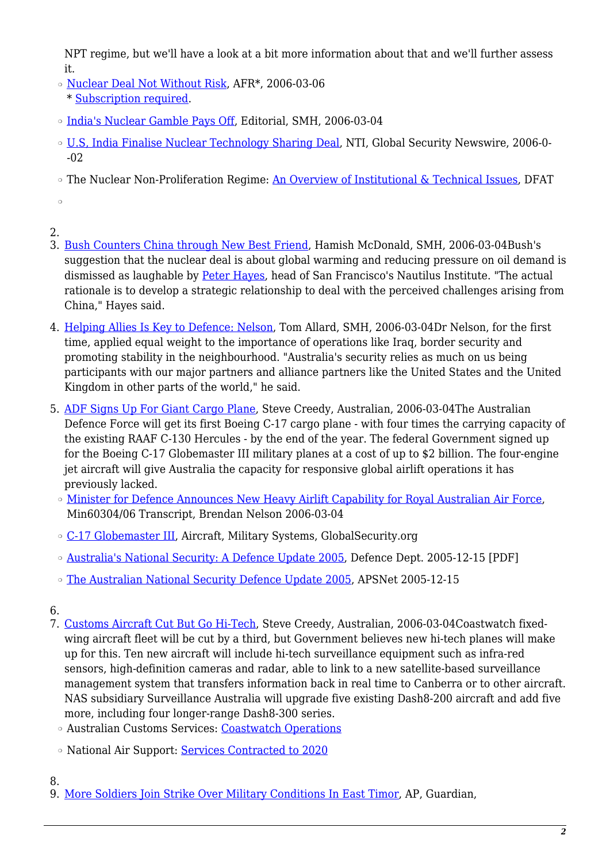NPT regime, but we'll have a look at a bit more information about that and we'll further assess it.

- ❍ [Nuclear Deal Not Without Risk](http://afr.com/premium/articles/2006/03/05/1141493546619.html), AFR\*, 2006-03-06 \* [Subscription required.](http://nautilus.org/subscription.html)
- ❍ [India's Nuclear Gamble Pays Off,](http://www.smh.com.au/news/editorial/indias-nuclear-gamble-pays-off/2006/03/03/1141191843508.html) Editorial, SMH, 2006-03-04
- ❍ [U.S, India Finalise Nuclear Technology Sharing Deal](http://www.nti.org/d_newswire/issues/2006/3/2/e1fb8e3e-eb86-43b4-8052-72c037ad869d.html), NTI, Global Security Newswire, 2006-0- -02
- The Nuclear Non-Proliferation Regime: [An Overview of Institutional & Technical Issues,](http://www.asno.dfat.gov.au/nuclear_safeguards.html) DFAT

 $\circ$ 

- 2.
- 3. [Bush Counters China through New Best Friend,](http://www.smh.com.au/news/world/bush-counters-china-through-new-best-friend/2006/03/03/1141191849848.html) Hamish McDonald, SMH, 2006-03-04Bush's suggestion that the nuclear deal is about global warming and reducing pressure on oil demand is dismissed as laughable by [Peter Hayes,](http://nautilus.org/staff/peter-hayes.html) head of San Francisco's Nautilus Institute. "The actual rationale is to develop a strategic relationship to deal with the perceived challenges arising from China," Hayes said.
- 4. [Helping Allies Is Key to Defence: Nelson,](http://www.smh.com.au/news/national/helping-allies-is-key-to-defence-nelson/2006/03/03/1141191849396.html) Tom Allard, SMH, 2006-03-04Dr Nelson, for the first time, applied equal weight to the importance of operations like Iraq, border security and promoting stability in the neighbourhood. "Australia's security relies as much on us being participants with our major partners and alliance partners like the United States and the United Kingdom in other parts of the world," he said.
- 5. [ADF Signs Up For Giant Cargo Plane,](http://www.theaustralian.news.com.au/common/story_page/0,5744,18342753^31477,00.html) Steve Creedy, Australian, 2006-03-04The Australian Defence Force will get its first Boeing C-17 cargo plane - with four times the carrying capacity of the existing RAAF C-130 Hercules - by the end of the year. The federal Government signed up for the Boeing C-17 Globemaster III military planes at a cost of up to \$2 billion. The four-engine jet aircraft will give Australia the capacity for responsive global airlift operations it has previously lacked.
	- ❍ [Minister for Defence Announces New Heavy Airlift Capability for Royal Australian Air Force](http://www.minister.defence.gov.au/NelsonMinTranscripttpl.cfm?CurrentId=5450), Min60304/06 Transcript, Brendan Nelson 2006-03-04
	- ❍ [C-17 Globemaster III](http://www.globalsecurity.org/military/systems/aircraft/c-17.htm), Aircraft, Military Systems, GlobalSecurity.org
	- ❍ [Australia's National Security: A Defence Update 2005](http://www.defence.gov.au/update2005/defence_update_2005.pdf), Defence Dept. 2005-12-15 [PDF]
	- ❍ [The Australian National Security Defence Update 2005,](http://nautilus.rmit.edu.au/2005/20051215.html#n4) APSNet 2005-12-15

- 7. [Customs Aircraft Cut But Go Hi-Tech,](http://www.theaustralian.news.com.au/common/story_page/0,5744,18342751^5001561,00.html) Steve Creedy, Australian, 2006-03-04Coastwatch fixedwing aircraft fleet will be cut by a third, but Government believes new hi-tech planes will make up for this. Ten new aircraft will include hi-tech surveillance equipment such as infra-red sensors, high-definition cameras and radar, able to link to a new satellite-based surveillance management system that transfers information back in real time to Canberra or to other aircraft. NAS subsidiary Surveillance Australia will upgrade five existing Dash8-200 aircraft and add five more, including four longer-range Dash8-300 series.
	- ❍ Australian Customs Services: [Coastwatch Operations](http://www.customs.gov.au/site/page.cfm?u=4300)
	- o National Air Support: [Services Contracted to 2020](http://www.nationalairsupport.com.au/default2.asp)

8.

9. [More Soldiers Join Strike Over Military Conditions In East Timor](http://www.guardian.co.uk/international/story/0,,1722374,00.html), AP, Guardian,

<sup>6.</sup>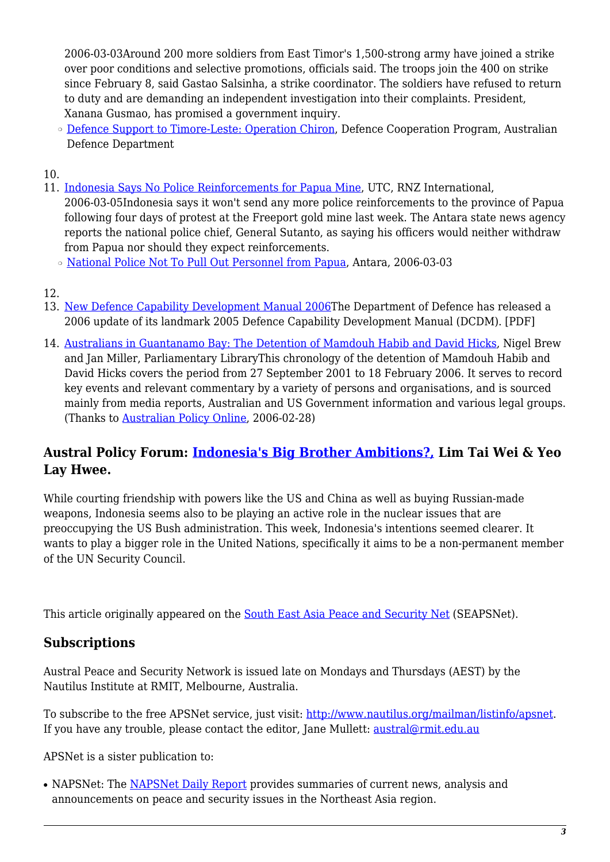2006-03-03Around 200 more soldiers from East Timor's 1,500-strong army have joined a strike over poor conditions and selective promotions, officials said. The troops join the 400 on strike since February 8, said Gastao Salsinha, a strike coordinator. The soldiers have refused to return to duty and are demanding an independent investigation into their complaints. President, Xanana Gusmao, has promised a government inquiry.

○ [Defence Support to Timore-Leste: Operation Chiron,](http://www.defence.gov.au/opspire/) Defence Cooperation Program, Australian Defence Department

10.

11. [Indonesia Says No Police Reinforcements for Papua Mine,](http://www.rnzi.com/pages/news.php?op=read&id=22625) UTC, RNZ International,

2006-03-05Indonesia says it won't send any more police reinforcements to the province of Papua following four days of protest at the Freeport gold mine last week. The Antara state news agency reports the national police chief, General Sutanto, as saying his officers would neither withdraw from Papua nor should they expect reinforcements.

- ❍ [National Police Not To Pull Out Personnel from Papua,](http://www.antara.co.id/en/seenws/index.php?id=9682) Antara, 2006-03-03
- 12.
- 13. [New Defence Capability Development Manual 2006](http://www.defence.gov.au/capability/_pubs/dcdm (2006).pdf)The Department of Defence has released a 2006 update of its landmark 2005 Defence Capability Development Manual (DCDM). [PDF]
- 14. [Australians in Guantanamo Bay: The Detention of Mamdouh Habib and David Hicks,](http://www.aph.gov.au/library/pubs/online/Australians_GuantanamoBay.htm) Nigel Brew and Jan Miller, Parliamentary LibraryThis chronology of the detention of Mamdouh Habib and David Hicks covers the period from 27 September 2001 to 18 February 2006. It serves to record key events and relevant commentary by a variety of persons and organisations, and is sourced mainly from media reports, Australian and US Government information and various legal groups. (Thanks to [Australian Policy Online,](http://www.apo.org.au/) 2006-02-28)

### **Austral Policy Forum: [Indonesia's Big Brother Ambitions?,](http://nautilus.org/publications/essays/apsnet/policy-forum/2006/0605a-lim-yeo.html) Lim Tai Wei & Yeo Lay Hwee.**

While courting friendship with powers like the US and China as well as buying Russian-made weapons, Indonesia seems also to be playing an active role in the nuclear issues that are preoccupying the US Bush administration. This week, Indonesia's intentions seemed clearer. It wants to play a bigger role in the United Nations, specifically it aims to be a non-permanent member of the UN Security Council.

This article originally appeared on the **South East Asia Peace and Security Net** (SEAPSNet).

### **Subscriptions**

Austral Peace and Security Network is issued late on Mondays and Thursdays (AEST) by the Nautilus Institute at RMIT, Melbourne, Australia.

To subscribe to the free APSNet service, just visit: <http://www.nautilus.org/mailman/listinfo/apsnet>. If you have any trouble, please contact the editor, Jane Mullett: [austral@rmit.edu.au](mailto:austral@rmit.edu.au)

APSNet is a sister publication to:

• NAPSNet: The [NAPSNet Daily Report](http://nautilus.org/napsnet/dr/index-2.html) provides summaries of current news, analysis and announcements on peace and security issues in the Northeast Asia region.